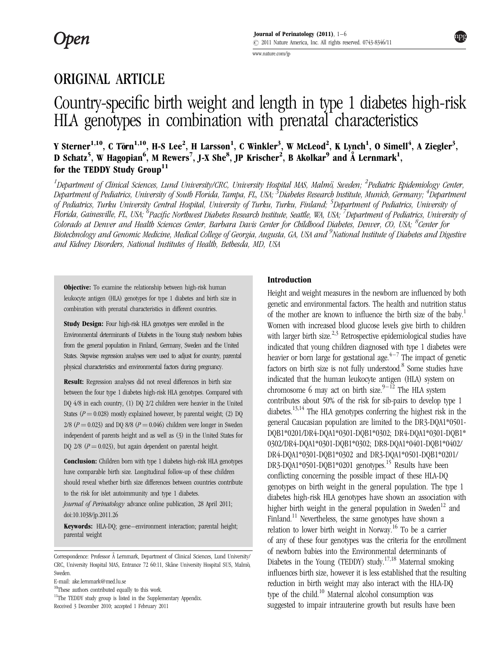Journal of Perinatology (2011), 1–6 r 2011 Nature America, Inc. All rights reserved. 0743-8346/11 [www.nature.com/jp](http://www.nature.com/jp)

# ORIGINAL ARTICLE

# Country-specific birth weight and length in type 1 diabetes high-risk HLA genotypes in combination with prenatal characteristics

Y Sterner $^{1,10}$ , C Törn $^{1,10}$ , H-S Lee $^2$ , H Larsson $^1$ , C Winkler $^3$ , W McLeod $^2$ , K Lynch $^1$ , O Simell $^4$ , A Ziegler $^3$ , D Schatz<sup>5</sup>, W Hagopian<sup>6</sup>, M Rewers<sup>7</sup>, J-X She<sup>8</sup>, JP Krischer<sup>2</sup>, B Akolkar<sup>9</sup> and Å Lernmark<sup>1</sup>, for the TEDDY Study Group<sup>11</sup>

 $^1$ Department of Clinical Sciences, Lund University/CRC, University Hospital MAS, Malmö, Sweden;  $^2$ Pediatric Epidemiology Center, Department of Pediatrics, University of South Florida, Tampa, FL, USA; <sup>3</sup>Diabetes Research Institute, Munich, Germany; <sup>4</sup>Department of Pediatrics, Turku University Central Hospital, University of Turku, Turku, Finland; <sup>5</sup>Department of Pediatrics, University oj .<br>Florida, Gainesville, FL, USA; <sup>6</sup>Pacific Northwest Diabetes Research Institute, Seattle, WA, USA; <sup>7</sup>Department of Pediatrics, University of Colorado at Denver and Health Sciences Center, Barbara Davis Center for Childhood Diabetes, Denver, CO, USA; <sup>8</sup>Center for Biotechnology and Genomic Medicine, Medical College of Georgia, Augusta, GA, USA and <sup>9</sup>National Institute of Diabetes and Digestive and Kidney Disorders, National Institutes of Health, Bethesda, MD, USA

**Objective:** To examine the relationship between high-risk human leukocyte antigen (HLA) genotypes for type 1 diabetes and birth size in combination with prenatal characteristics in different countries.

Study Design: Four high-risk HLA genotypes were enrolled in the Environmental determinants of Diabetes in the Young study newborn babies from the general population in Finland, Germany, Sweden and the United States. Stepwise regression analyses were used to adjust for country, parental physical characteristics and environmental factors during pregnancy.

Result: Regression analyses did not reveal differences in birth size between the four type 1 diabetes high-risk HLA genotypes. Compared with DQ 4/8 in each country, (1) DQ 2/2 children were heavier in the United States ( $P = 0.028$ ) mostly explained however, by parental weight; (2) DQ  $2/8$  ( $P = 0.023$ ) and DQ 8/8 ( $P = 0.046$ ) children were longer in Sweden independent of parents height and as well as (3) in the United States for DQ 2/8 ( $P = 0.023$ ), but again dependent on parental height.

Conclusion: Children born with type 1 diabetes high-risk HLA genotypes have comparable birth size. Longitudinal follow-up of these children should reveal whether birth size differences between countries contribute to the risk for islet autoimmunity and type 1 diabetes.

Journal of Perinatology advance online publication, 28 April 2011; doi:[10.1038/jp.2011.26](http://dx.doi.org/10.1038/jp.2011.26)

Keywords: HLA-DQ; gene–environment interaction; parental height; parental weight

E-mail: [ake.lernmark@med.lu.se](mailto:ake.lernmark@med.lu.se)

 $11$ The TEDDY study group is listed in the Supplementary Appendix.

#### Introduction

Height and weight measures in the newborn are influenced by both genetic and environmental factors. The health and nutrition status of the mother are known to influence the birth size of the baby.<sup>[1](#page-4-0)</sup> Women with increased blood glucose levels give birth to children with larger birth size.<sup>[2,3](#page-4-0)</sup> Retrospective epidemiological studies have indicated that young children diagnosed with type 1 diabetes were heavier or born large for gestational age. $4-7$  The impact of genetic factors on birth size is not fully understood.<sup>[8](#page-4-0)</sup> Some studies have indicated that the human leukocyte antigen (HLA) system on chromosome 6 may act on birth size. $9-12$  The HLA system contributes about 50% of the risk for sib-pairs to develop type 1 diabetes.<sup>[13,14](#page-5-0)</sup> The HLA genotypes conferring the highest risk in the general Caucasian population are limited to the DR3-DQA1\*0501- DQB1\*0201/DR4-DQA1\*0301-DQB1\*0302; DR4-DQA1\*0301-DQB1\* 0302/DR4-DQA1\*0301-DQB1\*0302; DR8-DQA1\*0401-DQB1\*0402/ DR4-DQA1\*0301-DQB1\*0302 and DR3-DQA1\*0501-DQB1\*0201/ DR3-DOA1\*0501-DOB1\*0201 genotypes.<sup>[15](#page-5-0)</sup> Results have been conflicting concerning the possible impact of these HLA-DQ genotypes on birth weight in the general population. The type 1 diabetes high-risk HLA genotypes have shown an association with higher birth weight in the general population in Sweden<sup>12</sup> and Finland.<sup>11</sup> Nevertheless, the same genotypes have shown a relation to lower birth weight in Norway.<sup>16</sup> To be a carrier of any of these four genotypes was the criteria for the enrollment of newborn babies into the Environmental determinants of Diabetes in the Young (TEDDY) study.<sup>[17,18](#page-5-0)</sup> Maternal smoking influences birth size, however it is less established that the resulting reduction in birth weight may also interact with the HLA-DQ type of the child.<sup>[10](#page-4-0)</sup> Maternal alcohol consumption was Received 3 December 2010; accepted 1 February 2011 suggested to impair intrauterine growth but results have been

Correspondence: Professor A˚ Lernmark, Department of Clinical Sciences, Lund University/ CRC, University Hospital MAS, Entrance 72 60:11, Skåne University Hospital SUS, Malmö, Sweden.

<sup>&</sup>lt;sup>10</sup>These authors contributed equally to this work.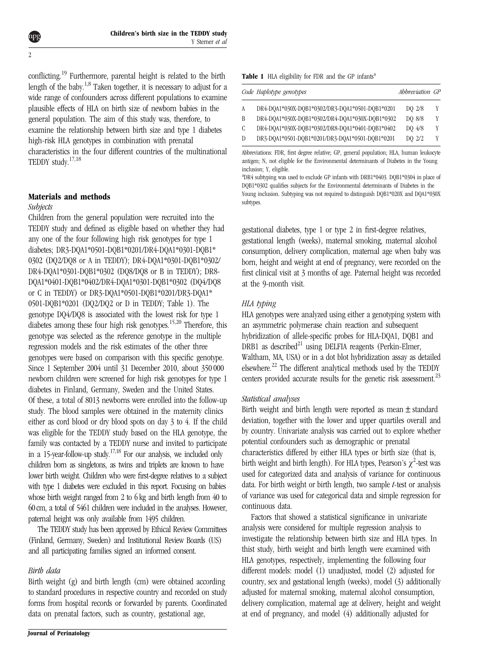2

conflicting.[19](#page-5-0) Furthermore, parental height is related to the birth length of the baby.<sup>[1,8](#page-4-0)</sup> Taken together, it is necessary to adjust for a wide range of confounders across different populations to examine plausible effects of HLA on birth size of newborn babies in the general population. The aim of this study was, therefore, to examine the relationship between birth size and type 1 diabetes high-risk HLA genotypes in combination with prenatal characteristics in the four different countries of the multinational TEDDY study.[17,18](#page-5-0)

# Materials and methods

#### Subjects

Children from the general population were recruited into the TEDDY study and defined as eligible based on whether they had any one of the four following high risk genotypes for type 1 diabetes; DR3-DQA1\*0501-DQB1\*0201/DR4-DQA1\*0301-DQB1\* 0302 (DQ2/DQ8 or A in TEDDY); DR4-DQA1\*0301-DQB1\*0302/ DR4-DQA1\*0301-DQB1\*0302 (DQ8/DQ8 or B in TEDDY); DR8- DQA1\*0401-DQB1\*0402/DR4-DQA1\*0301-DQB1\*0302 (DQ4/DQ8 or C in TEDDY) or DR3-DQA1\*0501-DQB1\*0201/DR3-DQA1\* 0501-DQB1\*0201 (DQ2/DQ2 or D in TEDDY; Table 1). The genotype DQ4/DQ8 is associated with the lowest risk for type 1 diabetes among these four high risk genotypes.<sup>[15,20](#page-5-0)</sup> Therefore, this genotype was selected as the reference genotype in the multiple regression models and the risk estimates of the other three genotypes were based on comparison with this specific genotype. Since 1 September 2004 until 31 December 2010, about 350 000 newborn children were screened for high risk genotypes for type 1 diabetes in Finland, Germany, Sweden and the United States. Of these, a total of 8013 newborns were enrolled into the follow-up study. The blood samples were obtained in the maternity clinics either as cord blood or dry blood spots on day 3 to 4. If the child was eligible for the TEDDY study based on the HLA genotype, the family was contacted by a TEDDY nurse and invited to participate in a 15-year-follow-up study.<sup>17,18</sup> For our analysis, we included only children born as singletons, as twins and triplets are known to have lower birth weight. Children who were first-degree relatives to a subject with type 1 diabetes were excluded in this report. Focusing on babies whose birth weight ranged from 2 to 6 kg and birth length from 40 to 60 cm, a total of 5461 children were included in the analyses. However, paternal height was only available from 1495 children.

The TEDDY study has been approved by Ethical Review Committees (Finland, Germany, Sweden) and Institutional Review Boards (US) and all participating families signed an informed consent.

# Birth data

Birth weight (g) and birth length (cm) were obtained according to standard procedures in respective country and recorded on study forms from hospital records or forwarded by parents. Coordinated data on prenatal factors, such as country, gestational age,

| Table 1 HLA eligibility for FDR and the GP infants <sup>a</sup> |  |  |  |  |  |  |  |
|-----------------------------------------------------------------|--|--|--|--|--|--|--|
|-----------------------------------------------------------------|--|--|--|--|--|--|--|

|    | Code Haplotype genotypes                        | Abbreviation GP |   |
|----|-------------------------------------------------|-----------------|---|
| A  | DR4-DQA1*030X-DQB1*0302/DR3-DQA1*0501-DQB1*0201 | DQ 2/8          | Y |
| B  | DR4-DQA1*030X-DQB1*0302/DR4-DQA1*030X-DQB1*0302 | DQ 8/8          | Y |
| C. | DR4-DQA1*030X-DQB1*0302/DR8-DQA1*0401-DQB1*0402 | DQ 4/8          | Y |
| D  | DR3-DQA1*0501-DQB1*0201/DR3-DQA1*0501-DQB1*0201 | DQ 2/2          | Y |

Abbreviations: FDR, first degree relative; GP, general population; HLA, human leukocyte antigen; N, not eligible for the Environmental determinants of Diabetes in the Young inclusion; Y, eligible.

a DR4 subtyping was used to exclude GP infants with DRB1\*0403. DQB1\*0304 in place of DQB1\*0302 qualifies subjects for the Environmental determinants of Diabetes in the Young inclusion. Subtyping was not required to distinguish DQB1\*020X and DQA1\*030X subtypes.

gestational diabetes, type 1 or type 2 in first-degree relatives, gestational length (weeks), maternal smoking, maternal alcohol consumption, delivery complication, maternal age when baby was born, height and weight at end of pregnancy, were recorded on the first clinical visit at 3 months of age. Paternal height was recorded at the 9-month visit.

# HLA typing

HLA genotypes were analyzed using either a genotyping system with an asymmetric polymerase chain reaction and subsequent hybridization of allele-specific probes for HLA-DQA1, DQB1 and  $DRB1$  as described<sup>21</sup> using DELFIA reagents (Perkin-Elmer, Waltham, MA, USA) or in a dot blot hybridization assay as detailed elsewhere.<sup>[22](#page-5-0)</sup> The different analytical methods used by the TEDDY centers provided accurate results for the genetic risk assessment.<sup>23</sup>

#### Statistical analyses

Birth weight and birth length were reported as mean  $\pm$  standard deviation, together with the lower and upper quartiles overall and by country. Univariate analysis was carried out to explore whether potential confounders such as demographic or prenatal characteristics differed by either HLA types or birth size (that is, birth weight and birth length). For HLA types, Pearson's  $\chi^2$ -test was used for categorized data and analysis of variance for continuous data. For birth weight or birth length, two sample  $t$ -test or analysis of variance was used for categorical data and simple regression for continuous data.

Factors that showed a statistical significance in univariate analysis were considered for multiple regression analysis to investigate the relationship between birth size and HLA types. In thist study, birth weight and birth length were examined with HLA genotypes, respectively, implementing the following four different models: model (1) unadjusted, model (2) adjusted for country, sex and gestational length (weeks), model (3) additionally adjusted for maternal smoking, maternal alcohol consumption, delivery complication, maternal age at delivery, height and weight at end of pregnancy, and model (4) additionally adjusted for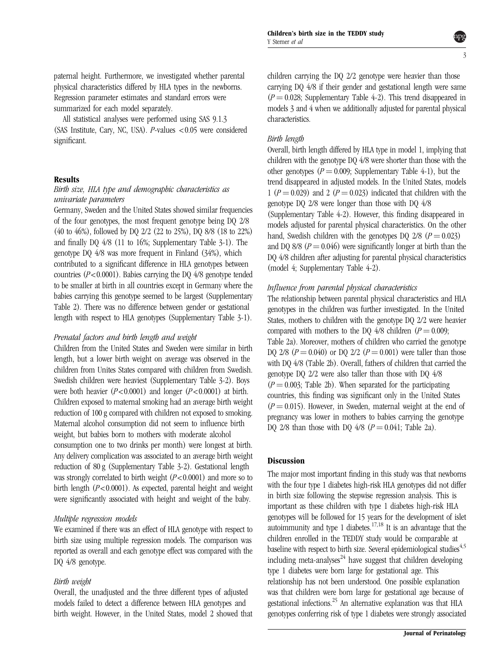paternal height. Furthermore, we investigated whether parental physical characteristics differed by HLA types in the newborns. Regression parameter estimates and standard errors were summarized for each model separately.

All statistical analyses were performed using SAS 9.1.3 (SAS Institute, Cary, NC, USA).  $P$ -values <0.05 were considered significant.

# Results

# Birth size, HLA type and demographic characteristics as univariate parameters

Germany, Sweden and the United States showed similar frequencies of the four genotypes, the most frequent genotype being DQ 2/8 (40 to 46%), followed by DQ 2/2 (22 to 25%), DQ 8/8 (18 to 22%) and finally DQ 4/8 (11 to 16%; Supplementary Table 3-1). The genotype DQ 4/8 was more frequent in Finland (34%), which contributed to a significant difference in HLA genotypes between countries  $(P<0.0001)$ . Babies carrying the DO 4/8 genotype tended to be smaller at birth in all countries except in Germany where the babies carrying this genotype seemed to be largest (Supplementary Table 2). There was no difference between gender or gestational length with respect to HLA genotypes (Supplementary Table 3-1).

# Prenatal factors and birth length and weight

Children from the United States and Sweden were similar in birth length, but a lower birth weight on average was observed in the children from Unites States compared with children from Swedish. Swedish children were heaviest (Supplementary Table 3-2). Boys were both heavier  $(P<0.0001)$  and longer  $(P<0.0001)$  at birth. Children exposed to maternal smoking had an average birth weight reduction of 100 g compared with children not exposed to smoking. Maternal alcohol consumption did not seem to influence birth weight, but babies born to mothers with moderate alcohol consumption one to two drinks per month) were longest at birth. Any delivery complication was associated to an average birth weight reduction of 80 g (Supplementary Table 3-2). Gestational length was strongly correlated to birth weight  $(P<0.0001)$  and more so to birth length  $(P<0.0001)$ . As expected, parental height and weight were significantly associated with height and weight of the baby.

# Multiple regression models

We examined if there was an effect of HLA genotype with respect to birth size using multiple regression models. The comparison was reported as overall and each genotype effect was compared with the DQ 4/8 genotype.

#### Birth weight

Overall, the unadjusted and the three different types of adjusted models failed to detect a difference between HLA genotypes and birth weight. However, in the United States, model 2 showed that children carrying the DQ 2/2 genotype were heavier than those carrying DQ 4/8 if their gender and gestational length were same  $(P = 0.028;$  Supplementary Table 4-2). This trend disappeared in models 3 and 4 when we additionally adjusted for parental physical characteristics.

#### Birth length

Overall, birth length differed by HLA type in model 1, implying that children with the genotype DQ 4/8 were shorter than those with the other genotypes ( $P = 0.009$ ; Supplementary Table 4-1), but the trend disappeared in adjusted models. In the United States, models 1 ( $P = 0.029$ ) and 2 ( $P = 0.023$ ) indicated that children with the genotype DQ 2/8 were longer than those with DQ 4/8 (Supplementary Table 4-2). However, this finding disappeared in models adjusted for parental physical characteristics. On the other hand, Swedish children with the genotypes DQ 2/8 ( $P = 0.023$ ) and DQ 8/8 ( $P = 0.046$ ) were significantly longer at birth than the DQ 4/8 children after adjusting for parental physical characteristics (model 4; Supplementary Table 4-2).

# Influence from parental physical characteristics

The relationship between parental physical characteristics and HLA genotypes in the children was further investigated. In the United States, mothers to children with the genotype DQ 2/2 were heavier compared with mothers to the DQ 4/8 children ( $P = 0.009$ ; [Table 2a\)](#page-3-0). Moreover, mothers of children who carried the genotype DQ 2/8 ( $P = 0.040$ ) or DQ 2/2 ( $P = 0.001$ ) were taller than those with DQ 4/8 [\(Table 2b](#page-4-0)). Overall, fathers of children that carried the genotype DQ 2/2 were also taller than those with DQ 4/8  $(P = 0.003$ ; [Table 2b\)](#page-4-0). When separated for the participating countries, this finding was significant only in the United States  $(P = 0.015)$ . However, in Sweden, maternal weight at the end of pregnancy was lower in mothers to babies carrying the genotype DQ 2/8 than those with DQ 4/8  $(P = 0.041$ ; [Table 2a](#page-3-0)).

# Discussion

The major most important finding in this study was that newborns with the four type 1 diabetes high-risk HLA genotypes did not differ in birth size following the stepwise regression analysis. This is important as these children with type 1 diabetes high-risk HLA genotypes will be followed for 15 years for the development of islet autoimmunity and type 1 diabetes.<sup>[17,18](#page-5-0)</sup> It is an advantage that the children enrolled in the TEDDY study would be comparable at baseline with respect to birth size. Several epidemiological studies<sup>[4,5](#page-4-0)</sup> including meta-analyses<sup>[24](#page-5-0)</sup> have suggest that children developing type 1 diabetes were born large for gestational age. This relationship has not been understood. One possible explanation was that children were born large for gestational age because of gestational infections.[25](#page-5-0) An alternative explanation was that HLA genotypes conferring risk of type 1 diabetes were strongly associated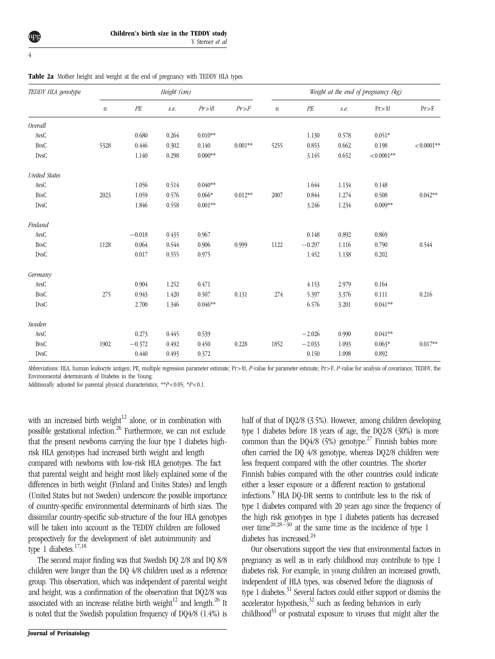<span id="page-3-0"></span>4

| TEDDY HLA genotype   |              |          | Height (cm) |           |           | Weight at the end of pregnancy (kg) |          |       |              |               |  |  |
|----------------------|--------------|----------|-------------|-----------|-----------|-------------------------------------|----------|-------|--------------|---------------|--|--|
|                      | $\, {\rm n}$ | $P\!E$   | s.e.        | Pr> t     | Pr > F    | $\mathbf n$                         | PE       | s.e.  | Pr> t        | $Pr$ >F       |  |  |
| Overall              |              |          |             |           |           |                                     |          |       |              |               |  |  |
| AvsC                 |              | 0.680    | 0.264       | $0.010**$ |           |                                     | 1.130    | 0.578 | $0.051*$     |               |  |  |
| <b>BvsC</b>          | 5328         | 0.446    | 0.302       | 0.140     | $0.001**$ | 5255                                | 0.853    | 0.662 | 0.198        | $< 0.0001$ ** |  |  |
| <b>DvsC</b>          |              | 1.140    | 0.298       | $0.000**$ |           |                                     | 3.145    | 0.652 | $< 0.0001**$ |               |  |  |
| <b>United States</b> |              |          |             |           |           |                                     |          |       |              |               |  |  |
| AvsC                 |              | 1.056    | 0.514       | $0.040**$ |           |                                     | 1.644    | 1.134 | 0.148        |               |  |  |
| <b>BvsC</b>          | 2023         | 1.059    | 0.576       | $0.066*$  | $0.012**$ | 2007                                | 0.844    | 1.274 | 0.508        | $0.042**$     |  |  |
| <b>DvsC</b>          |              | 1.846    | 0.558       | $0.001**$ |           |                                     | 3.246    | 1.234 | $0.009**$    |               |  |  |
| Finland              |              |          |             |           |           |                                     |          |       |              |               |  |  |
| AvsC                 |              | $-0.018$ | 0.435       | 0.967     |           |                                     | 0.148    | 0.892 | 0.869        |               |  |  |
| <b>BvsC</b>          | 1128         | 0.064    | 0.544       | 0.906     | 0.999     | 1122                                | $-0.297$ | 1.116 | 0.790        | 0.544         |  |  |
| <b>DvsC</b>          |              | 0.017    | 0.555       | 0.975     |           |                                     | 1.452    | 1.138 | 0.202        |               |  |  |
| Germany              |              |          |             |           |           |                                     |          |       |              |               |  |  |
| AvsC                 |              | 0.904    | 1.252       | 0.471     |           |                                     | 4.153    | 2.979 | 0.164        |               |  |  |
| <b>BysC</b>          | 275          | 0.943    | 1.420       | 0.507     | 0.131     | 274                                 | 5.397    | 3.376 | 0.111        | 0.216         |  |  |
| <b>DvsC</b>          |              | 2.700    | 1.346       | $0.046**$ |           |                                     | 6.576    | 3.201 | $0.041**$    |               |  |  |
| Sweden               |              |          |             |           |           |                                     |          |       |              |               |  |  |
| AvsC                 |              | 0.273    | 0.445       | 0.539     |           |                                     | $-2.026$ | 0.990 | $0.041**$    |               |  |  |
| <b>BvsC</b>          | 1902         | $-0.372$ | 0.492       | 0.450     | 0.228     | 1852                                | $-2.033$ | 1.093 | $0.063*$     | $0.017**$     |  |  |
| <b>DvsC</b>          |              | 0.440    | 0.493       | 0.372     |           |                                     | 0.150    | 1.098 | 0.892        |               |  |  |

| Table 2a Mother height and weight at the end of pregnancy with TEDDY HLA types |  |  |  |  |  |  |  |  |  |  |  |  |  |
|--------------------------------------------------------------------------------|--|--|--|--|--|--|--|--|--|--|--|--|--|
|--------------------------------------------------------------------------------|--|--|--|--|--|--|--|--|--|--|--|--|--|

Abbreviations: HLA, human leukocyte antigen; PE, multiple regression parameter estimate; Pr>lt|, P-value for parameter estimate; Pr>F, P-value for analysis of covariance; TEDDY, the Environmental determinants of Diabetes in the Young.

Additionally adjusted for parental physical characteristics; \*\* $P < 0.05$ ; \* $P < 0.1$ .

with an increased birth weight $12$  alone, or in combination with possible gestational infection.[26](#page-5-0) Furthermore, we can not exclude that the present newborns carrying the four type 1 diabetes highrisk HLA genotypes had increased birth weight and length compared with newborns with low-risk HLA genotypes. The fact that parental weight and height most likely explained some of the differences in birth weight (Finland and Unites States) and length (United States but not Sweden) underscore the possible importance of country-specific environmental determinants of birth sizes. The dissimilar country-specific sub-structure of the four HLA genotypes will be taken into account as the TEDDY children are followed prospectively for the development of islet autoimmunity and type 1 diabetes.[17,18](#page-5-0)

The second major finding was that Swedish DQ 2/8 and DQ 8/8 children were longer than the DQ 4/8 children used as a reference group. This observation, which was independent of parental weight and height, was a confirmation of the observation that DQ2/8 was associated with an increase relative birth weight $12$  and length.<sup>[26](#page-5-0)</sup> It is noted that the Swedish population frequency of DQ4/8 (1.4%) is

half of that of DQ2/8 (3.5%). However, among children developing type 1 diabetes before 18 years of age, the DQ2/8 (30%) is more common than the DO4/8 (5%) genotype.<sup>[27](#page-5-0)</sup> Finnish babies more often carried the DQ 4/8 genotype, whereas DQ2/8 children were less frequent compared with the other countries. The shorter Finnish babies compared with the other countries could indicate either a lesser exposure or a different reaction to gestational infections.[9](#page-4-0) HLA DQ-DR seems to contribute less to the risk of type 1 diabetes compared with 20 years ago since the frequency of the high risk genotypes in type 1 diabetes patients has decreased over time<sup>20,28–30</sup> at the same time as the incidence of type 1 diabetes has increased.<sup>[24](#page-5-0)</sup>

Our observations support the view that environmental factors in pregnancy as well as in early childhood may contribute to type 1 diabetes risk. For example, in young children an increased growth, independent of HLA types, was observed before the diagnosis of type 1 diabetes.<sup>[31](#page-5-0)</sup> Several factors could either support or dismiss the  $\frac{1}{4}$  accelerator hypothesis,<sup>[32](#page-5-0)</sup> such as feeding behaviors in early childhood $33$  or postnatal exposure to viruses that might alter the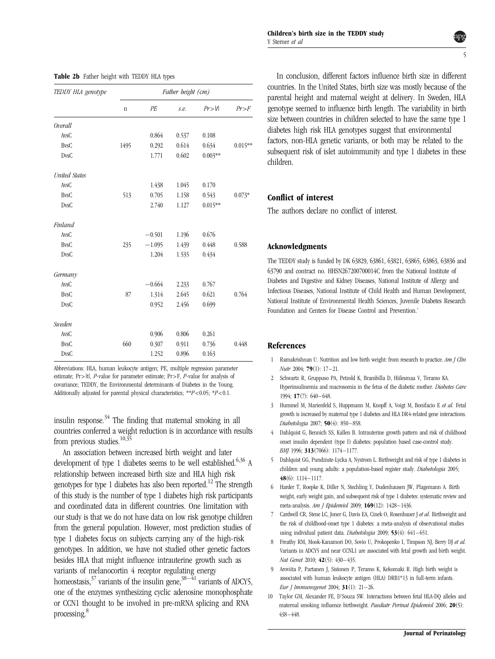| TEDDY HLA genotype   | Father height (cm) |          |       |            |           |  |  |  |  |  |  |
|----------------------|--------------------|----------|-------|------------|-----------|--|--|--|--|--|--|
|                      | $\mathbf n$        | PE       | s.e.  | Pr> t      | Pr > F    |  |  |  |  |  |  |
| Overall              |                    |          |       |            |           |  |  |  |  |  |  |
| AvsC                 |                    | 0.864    | 0.537 | 0.108      |           |  |  |  |  |  |  |
| <b>BysC</b>          | 1495               | 0.292    | 0.614 | 0.634      | $0.015**$ |  |  |  |  |  |  |
| <b>DvsC</b>          |                    | 1.771    | 0.602 | $0.003**$  |           |  |  |  |  |  |  |
| <b>United States</b> |                    |          |       |            |           |  |  |  |  |  |  |
| AvsC                 |                    | 1.438    | 1.045 | 0.170      |           |  |  |  |  |  |  |
| <b>BysC</b>          | 513                | 0.705    | 1.158 | 0.543      | $0.073*$  |  |  |  |  |  |  |
| <b>DvsC</b>          |                    | 2.740    | 1.127 | $0.015***$ |           |  |  |  |  |  |  |
| Finland              |                    |          |       |            |           |  |  |  |  |  |  |
| AvsC                 |                    | $-0.501$ | 1.196 | 0.676      |           |  |  |  |  |  |  |
| <b>B</b> vsC         | 235                | $-1.095$ | 1.439 | 0.448      | 0.588     |  |  |  |  |  |  |
| <b>DvsC</b>          |                    | 1.204    | 1.535 | 0.434      |           |  |  |  |  |  |  |
| Germany              |                    |          |       |            |           |  |  |  |  |  |  |
| AvsC                 |                    | $-0.664$ | 2.233 | 0.767      |           |  |  |  |  |  |  |
| <b>BysC</b>          | 87                 | 1.314    | 2.645 | 0.621      | 0.764     |  |  |  |  |  |  |
| <b>DvsC</b>          |                    | 0.952    | 2.456 | 0.699      |           |  |  |  |  |  |  |
| Sweden               |                    |          |       |            |           |  |  |  |  |  |  |
| AvsC                 |                    | 0.906    | 0.806 | 0.261      |           |  |  |  |  |  |  |
| <b>BysC</b>          | 660                | 0.307    | 0.911 | 0.736      | 0.448     |  |  |  |  |  |  |
| <b>DvsC</b>          |                    | 1.252    | 0.896 | 0.163      |           |  |  |  |  |  |  |

<span id="page-4-0"></span>Table 2b Father height with TEDDY HLA types

Abbreviations: HLA, human leukocyte antigen; PE, multiple regression parameter estimate: Pr>|t|, P-value for parameter estimate; Pr>F, P-value for analysis of covariance; TEDDY, the Environmental determinants of Diabetes in the Young. Additionally adjusted for parental physical characteristics;  $*P<0.05$ ;  $*P<0.1$ .

insulin response.<sup>[34](#page-5-0)</sup> The finding that maternal smoking in all countries conferred a weight reduction is in accordance with results from previous studies. $10,35$ 

An association between increased birth weight and later development of type 1 diabetes seems to be well established.<sup>6,36</sup> A relationship between increased birth size and HLA high risk genotypes for type 1 diabetes has also been reported.<sup>[12](#page-5-0)</sup> The strength of this study is the number of type 1 diabetes high risk participants and coordinated data in different countries. One limitation with our study is that we do not have data on low risk genotype children from the general population. However, most prediction studies of type 1 diabetes focus on subjects carrying any of the high-risk genotypes. In addition, we have not studied other genetic factors besides HLA that might influence intrauterine growth such as variants of melanocortin 4 receptor regulating energy homeostasis,  $37$  variants of the insulin gene,  $38-41$  variants of ADCY5, one of the enzymes synthesizing cyclic adenosine monophosphate or CCN1 thought to be involved in pre-mRNA splicing and RNA processing.8

5

In conclusion, different factors influence birth size in different countries. In the United States, birth size was mostly because of the parental height and maternal weight at delivery. In Sweden, HLA genotype seemed to influence birth length. The variability in birth size between countries in children selected to have the same type 1 diabetes high risk HLA genotypes suggest that environmental factors, non-HLA genetic variants, or both may be related to the subsequent risk of islet autoimmunity and type 1 diabetes in these children.

#### Conflict of interest

The authors declare no conflict of interest.

## Acknowledgments

The TEDDY study is funded by DK 63829, 63861, 63821, 63865, 63863, 63836 and 63790 and contract no. HHSN267200700014C from the National Institute of Diabetes and Digestive and Kidney Diseases, National Institute of Allergy and Infectious Diseases, National Institute of Child Health and Human Development, National Institute of Environmental Health Sciences, Juvenile Diabetes Research Foundation and Centers for Disease Control and Prevention.'

#### References

- 1 Ramakrishnan U. Nutrition and low birth weight: from research to practice. Am J Clin Nutr 2004; 79(1): 17–21.
- 2 Schwartz R, Gruppuso PA, Petzold K, Brambilla D, Hiilesmaa V, Teramo KA. Hyperinsulinemia and macrosomia in the fetus of the diabetic mother. Diabetes Care  $1994 \cdot 17(7) \cdot 640 - 648$
- 3 Hummel M, Marienfeld S, Huppmann M, Knopff A, Voigt M, Bonifacio E et al. Fetal growth is increased by maternal type 1 diabetes and HLA DR4-related gene interactions. Diabetologia 2007; 50(4): 850–858.
- 4 Dahlquist G, Bennich SS, Kallen B. Intrauterine growth pattern and risk of childhood onset insulin dependent (type I) diabetes: population based case-control study. BMJ 1996; 313(7066): 1174–1177.
- 5 Dahlquist GG, Pundziute-Lycka A, Nystrom L. Birthweight and risk of type 1 diabetes in children and young adults: a population-based register study. Diabetologia 2005; 48(6): 1114–1117.
- 6 Harder T, Roepke K, Diller N, Stechling Y, Dudenhausen JW, Plagemann A. Birth weight, early weight gain, and subsequent risk of type 1 diabetes: systematic review and meta-analysis. Am J Epidemiol 2009; 169(12): 1428-1436.
- 7 Cardwell CR, Stene LC, Joner G, Davis EA, Cinek O, Rosenbauer J et al. Birthweight and the risk of childhood-onset type 1 diabetes: a meta-analysis of observational studies using individual patient data. Diabetologia 2009; 53(4): 641–651.
- 8 Freathy RM, Mook-Kanamori DO, Sovio U, Prokopenko I, Timpson NJ, Berry DJ et al. Variants in ADCY5 and near CCNL1 are associated with fetal growth and birth weight. Nat Genet 2010; 42(5): 430–435.
- 9 Aroviita P, Partanen J, Sistonen P, Teramo K, Kekomaki R. High birth weight is associated with human leukocyte antigen (HLA) DRB1\*13 in full-term infants. Eur J Immunogenet 2004; 31(1): 21–26.
- 10 Taylor GM, Alexander FE, D'Souza SW. Interactions between fetal HLA-DQ alleles and maternal smoking influence birthweight. Paediatr Perinat Epidemiol 2006; 20(5): 438–448.